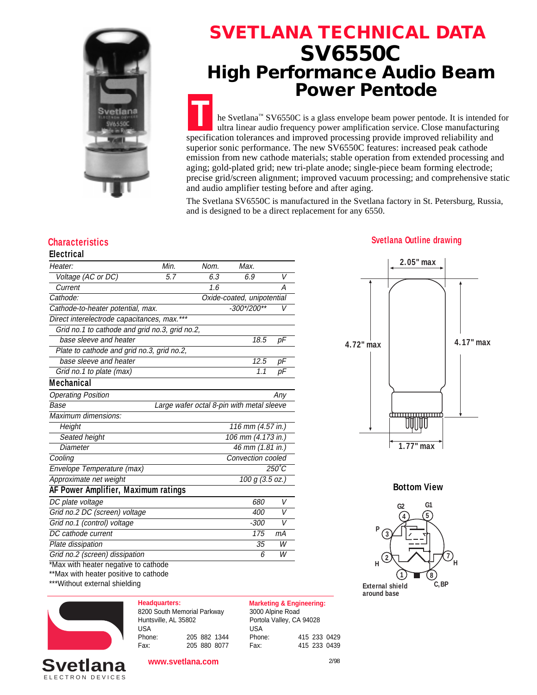

## **SVETLANA TECHNICAL DATA SV6550C High Performance Audio Beam Power Pentode**

**T** he Svetlana™ SV6550C is a glass envelope beam power pentode. It is intended for ultra linear audio frequency power amplification service. Close manufacturing specification tolerances and improved processing provide improved reliability and superior sonic performance. The new SV6550C features: increased peak cathode emission from new cathode materials; stable operation from extended processing and aging; gold-plated grid; new tri-plate anode; single-piece beam forming electrode; precise grid/screen alignment; improved vacuum processing; and comprehensive static and audio amplifier testing before and after aging.

The Svetlana SV6550C is manufactured in the Svetlana factory in St. Petersburg, Russia, and is designed to be a direct replacement for any 6550.

### **Electrical**

| Heater:                                        | Min.              | Nom.            | Max.                                      |                |  |
|------------------------------------------------|-------------------|-----------------|-------------------------------------------|----------------|--|
| Voltage (AC or DC)                             | 5.7               | 6.3             | 6.9                                       | V              |  |
| Current                                        |                   | 1.6             |                                           | А              |  |
| Cathode:                                       |                   |                 | Oxide-coated, unipotential                |                |  |
| Cathode-to-heater potential, max.              |                   |                 | $-300*/200**$                             | V              |  |
| Direct interelectrode capacitances, max.***    |                   |                 |                                           |                |  |
| Grid no.1 to cathode and grid no.3, grid no.2, |                   |                 |                                           |                |  |
| base sleeve and heater                         |                   |                 | 18.5                                      | рF             |  |
| Plate to cathode and grid no.3, grid no.2,     |                   |                 |                                           |                |  |
| base sleeve and heater                         |                   |                 | 12.5                                      | рF             |  |
| Grid no.1 to plate (max)                       |                   |                 | 1.1                                       | рF             |  |
| <b>Mechanical</b>                              |                   |                 |                                           |                |  |
| <b>Operating Position</b>                      |                   |                 |                                           | Any            |  |
| Base                                           |                   |                 | Large wafer octal 8-pin with metal sleeve |                |  |
| Maximum dimensions:                            |                   |                 |                                           |                |  |
| Height                                         |                   |                 | 116 mm (4.57 in.)                         |                |  |
| Seated height                                  |                   |                 | 106 mm (4.173 in.)                        |                |  |
| Diameter                                       | 46 mm (1.81 in.)  |                 |                                           |                |  |
| Cooling                                        | Convection cooled |                 |                                           |                |  |
| Envelope Temperature (max)                     |                   | $250^{\circ}$ C |                                           |                |  |
| Approximate net weight                         | 100 g (3.5 oz.)   |                 |                                           |                |  |
| AF Power Amplifier, Maximum ratings            |                   |                 |                                           |                |  |
| DC plate voltage                               |                   |                 | 680                                       | V              |  |
| Grid no.2 DC (screen) voltage                  |                   |                 | 400                                       | $\overline{V}$ |  |
| Grid no.1 (control) voltage                    |                   |                 | $-300$                                    | V              |  |
| DC cathode current                             |                   |                 | 175                                       | mA             |  |
| Plate dissipation                              |                   |                 | 35                                        | W              |  |
| Grid no.2 (screen) dissipation                 |                   |                 | 6                                         | W              |  |
| *Max with heater negative to cathode           |                   |                 |                                           |                |  |

\*\*Max with heater positive to cathode

\*\*\*Without external shielding



| <b>Headquarters:</b>        |  |              |
|-----------------------------|--|--------------|
| 8200 South Memorial Parkway |  |              |
| Huntsville, AL 35802        |  |              |
| USA                         |  |              |
| Phone:                      |  | 205 882 1344 |
| Fax:                        |  | 205 880 8077 |

**Marketing & Engineering:** 3000 Alpine Road Portola Valley, CA 94028 USA Phone: 415 233 0429 Fax: 415 233 0439

### **Characteristics Svetlana Outline drawing**



**Bottom View**



2/98